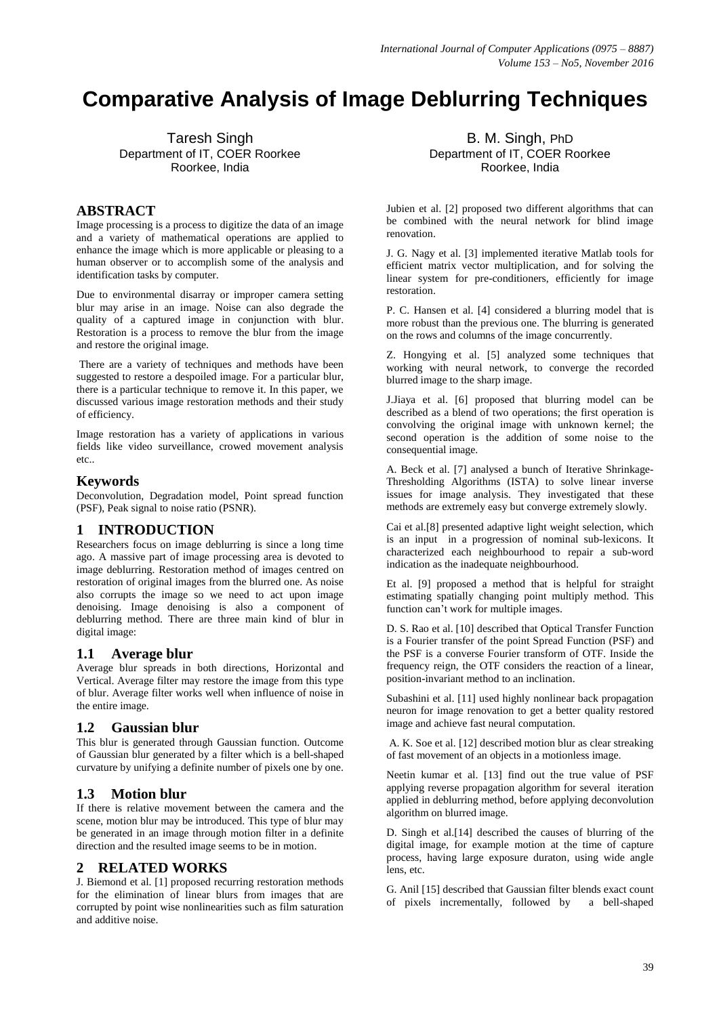# **Comparative Analysis of Image Deblurring Techniques**

Taresh Singh Department of IT, COER Roorkee Roorkee, India

# **ABSTRACT**

Image processing is a process to digitize the data of an image and a variety of mathematical operations are applied to enhance the image which is more applicable or pleasing to a human observer or to accomplish some of the analysis and identification tasks by computer.

Due to environmental disarray or improper camera setting blur may arise in an image. Noise can also degrade the quality of a captured image in conjunction with blur. Restoration is a process to remove the blur from the image and restore the original image.

There are a variety of techniques and methods have been suggested to restore a despoiled image. For a particular blur, there is a particular technique to remove it. In this paper, we discussed various image restoration methods and their study of efficiency.

Image restoration has a variety of applications in various fields like video surveillance, crowed movement analysis etc..

## **Keywords**

Deconvolution, Degradation model, Point spread function (PSF), Peak signal to noise ratio (PSNR).

# **1 INTRODUCTION**

Researchers focus on image deblurring is since a long time ago. A massive part of image processing area is devoted to image deblurring. Restoration method of images centred on restoration of original images from the blurred one. As noise also corrupts the image so we need to act upon image denoising. Image denoising is also a component of deblurring method. There are three main kind of blur in digital image:

#### **1.1 Average blur**

Average blur spreads in both directions, Horizontal and Vertical. Average filter may restore the image from this type of blur. Average filter works well when influence of noise in the entire image.

# **1.2 Gaussian blur**

This blur is generated through Gaussian function. Outcome of Gaussian blur generated by a filter which is a bell-shaped curvature by unifying a definite number of pixels one by one.

# **1.3 Motion blur**

If there is relative movement between the camera and the scene, motion blur may be introduced. This type of blur may be generated in an image through motion filter in a definite direction and the resulted image seems to be in motion.

# **2 RELATED WORKS**

J. Biemond et al. [1] proposed recurring restoration methods for the elimination of linear blurs from images that are corrupted by point wise nonlinearities such as film saturation and additive noise.

B. M. Singh, PhD Department of IT, COER Roorkee Roorkee, India

Jubien et al. [2] proposed two different algorithms that can be combined with the neural network for blind image renovation.

J. G. Nagy et al. [3] implemented iterative Matlab tools for efficient matrix vector multiplication, and for solving the linear system for pre-conditioners, efficiently for image restoration.

P. C. Hansen et al. [4] considered a blurring model that is more robust than the previous one. The blurring is generated on the rows and columns of the image concurrently.

Z. Hongying et al. [5] analyzed some techniques that working with neural network, to converge the recorded blurred image to the sharp image.

J.Jiaya et al. [6] proposed that blurring model can be described as a blend of two operations; the first operation is convolving the original image with unknown kernel; the second operation is the addition of some noise to the consequential image.

A. Beck et al. [7] analysed a bunch of Iterative Shrinkage-Thresholding Algorithms (ISTA) to solve linear inverse issues for image analysis. They investigated that these methods are extremely easy but converge extremely slowly.

Cai et al.[8] presented adaptive light weight selection, which is an input in a progression of nominal sub-lexicons. It characterized each neighbourhood to repair a sub-word indication as the inadequate neighbourhood.

Et al. [9] proposed a method that is helpful for straight estimating spatially changing point multiply method. This function can't work for multiple images.

D. S. Rao et al. [10] described that Optical Transfer Function is a Fourier transfer of the point Spread Function (PSF) and the PSF is a converse Fourier transform of OTF. Inside the frequency reign, the OTF considers the reaction of a linear, position-invariant method to an inclination.

Subashini et al. [11] used highly nonlinear back propagation neuron for image renovation to get a better quality restored image and achieve fast neural computation.

A. K. Soe et al. [12] described motion blur as clear streaking of fast movement of an objects in a motionless image.

Neetin kumar et al. [13] find out the true value of PSF applying reverse propagation algorithm for several iteration applied in deblurring method, before applying deconvolution algorithm on blurred image.

D. Singh et al.[14] described the causes of blurring of the digital image, for example motion at the time of capture process, having large exposure duraton, using wide angle lens, etc.

G. Anil [15] described that Gaussian filter blends exact count of pixels incrementally, followed by a bell-shaped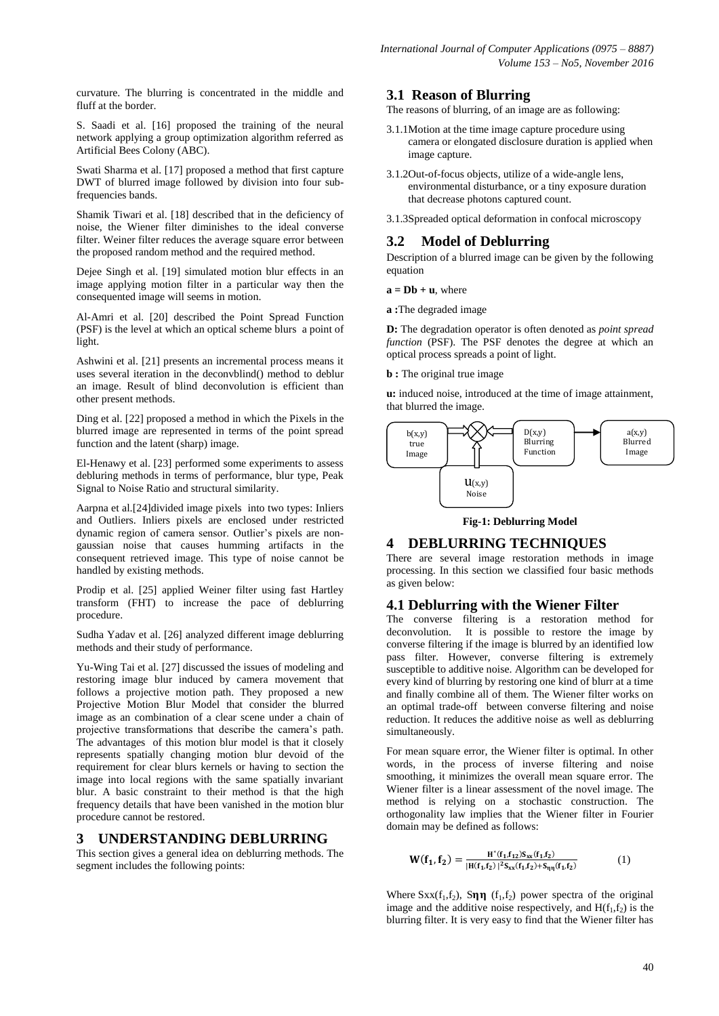curvature. The blurring is concentrated in the middle and fluff at the border.

S. Saadi et al. [16] proposed the training of the neural network applying a group optimization algorithm referred as Artificial Bees Colony (ABC).

Swati Sharma et al. [17] proposed a method that first capture DWT of blurred image followed by division into four subfrequencies bands.

Shamik Tiwari et al. [18] described that in the deficiency of noise, the Wiener filter diminishes to the ideal converse filter. Weiner filter reduces the average square error between the proposed random method and the required method.

Dejee Singh et al. [19] simulated motion blur effects in an image applying motion filter in a particular way then the consequented image will seems in motion.

Al-Amri et al. [20] described the Point Spread Function (PSF) is the level at which an optical scheme blurs a point of light.

Ashwini et al. [21] presents an incremental process means it uses several iteration in the deconvblind() method to deblur an image. Result of blind deconvolution is efficient than other present methods.

Ding et al. [22] proposed a method in which the Pixels in the blurred image are represented in terms of the point spread function and the latent (sharp) image.

El-Henawy et al. [23] performed some experiments to assess debluring methods in terms of performance, blur type, Peak Signal to Noise Ratio and structural similarity.

Aarpna et al.[24]divided image pixels into two types: Inliers and Outliers. Inliers pixels are enclosed under restricted dynamic region of camera sensor. Outlier's pixels are nongaussian noise that causes humming artifacts in the consequent retrieved image. This type of noise cannot be handled by existing methods.

Prodip et al. [25] applied Weiner filter using fast Hartley transform (FHT) to increase the pace of deblurring procedure.

Sudha Yadav et al. [26] analyzed different image deblurring methods and their study of performance.

Yu-Wing Tai et al. [27] discussed the issues of modeling and restoring image blur induced by camera movement that follows a projective motion path. They proposed a new Projective Motion Blur Model that consider the blurred image as an combination of a clear scene under a chain of projective transformations that describe the camera's path. The advantages of this motion blur model is that it closely represents spatially changing motion blur devoid of the requirement for clear blurs kernels or having to section the image into local regions with the same spatially invariant blur. A basic constraint to their method is that the high frequency details that have been vanished in the motion blur procedure cannot be restored.

#### **3 UNDERSTANDING DEBLURRING**

This section gives a general idea on deblurring methods. The segment includes the following points:

#### **3.1 Reason of Blurring**

The reasons of blurring, of an image are as following:

- 3.1.1Motion at the time image capture procedure using camera or elongated disclosure duration is applied when image capture.
- 3.1.2Out-of-focus objects, utilize of a wide-angle lens, environmental disturbance, or a tiny exposure duration that decrease photons captured count.
- 3.1.3Spreaded optical deformation in confocal microscopy

# **3.2 Model of Deblurring**

Description of a blurred image can be given by the following equation

 $a = Db + u$ , where

**a :**The degraded image

**D:** The degradation operator is often denoted as *point spread function* (PSF). The PSF denotes the degree at which an optical process spreads a point of light.

**b** : The original true image

**u:** induced noise, introduced at the time of image attainment, that blurred the image.



**Fig-1: Deblurring Model**

#### **4 DEBLURRING TECHNIQUES**

There are several image restoration methods in image processing. In this section we classified four basic methods as given below:

# **4.1 Deblurring with the Wiener Filter**

The converse filtering is a restoration method for deconvolution. It is possible to restore the image by converse filtering if the image is blurred by an identified low pass filter. However, converse filtering is extremely susceptible to additive noise. Algorithm can be developed for every kind of blurring by restoring one kind of blurr at a time and finally combine all of them. The Wiener filter works on an optimal trade-off between converse filtering and noise reduction. It reduces the additive noise as well as deblurring simultaneously.

For mean square error, the Wiener filter is optimal. In other words, in the process of inverse filtering and noise smoothing, it minimizes the overall mean square error. The Wiener filter is a linear assessment of the novel image. The method is relying on a stochastic construction. The orthogonality law implies that the Wiener filter in Fourier domain may be defined as follows:

$$
W(f_1, f_2) = \frac{H^*(f_1, f_{12})S_{xx}(f_1, f_2)}{|H(f_1, f_2)|^2S_{xx}(f_1, f_2) + S_{\eta\eta}(f_1, f_2)}
$$
(1)

Where  $Sxx(f_1, f_2)$ ,  $S\eta\eta$  ( $f_1, f_2$ ) power spectra of the original image and the additive noise respectively, and  $H(f_1, f_2)$  is the blurring filter. It is very easy to find that the Wiener filter has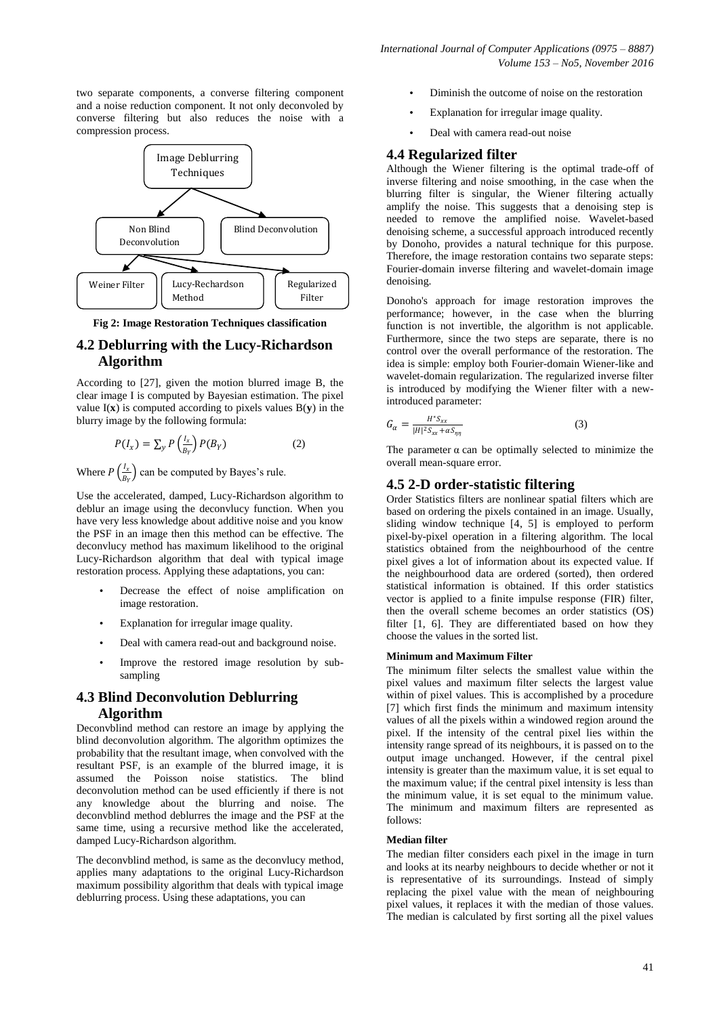two separate components, a converse filtering component and a noise reduction component. It not only deconvoled by converse filtering but also reduces the noise with a compression process.



**Fig 2: Image Restoration Techniques classification**

# **4.2 Deblurring with the Lucy-Richardson Algorithm**

According to [27], given the motion blurred image B, the clear image I is computed by Bayesian estimation. The pixel value  $I(x)$  is computed according to pixels values  $B(y)$  in the blurry image by the following formula:

$$
P(I_x) = \sum_{y} P\left(\frac{l_x}{B_Y}\right) P(B_Y) \tag{2}
$$

Where  $P\left(\frac{I_x}{P}\right)$  $\frac{t_x}{B_Y}$ ) can be computed by Bayes's rule.

Use the accelerated, damped, Lucy-Richardson algorithm to deblur an image using the deconvlucy function. When you have very less knowledge about additive noise and you know the PSF in an image then this method can be effective. The deconvlucy method has maximum likelihood to the original Lucy-Richardson algorithm that deal with typical image restoration process. Applying these adaptations, you can:

- Decrease the effect of noise amplification on image restoration.
- Explanation for irregular image quality.
- Deal with camera read-out and background noise.
- Improve the restored image resolution by subsampling

# **4.3 Blind Deconvolution Deblurring Algorithm**

Deconvblind method can restore an image by applying the blind deconvolution algorithm. The algorithm optimizes the probability that the resultant image, when convolved with the resultant PSF, is an example of the blurred image, it is assumed the Poisson noise statistics. The blind deconvolution method can be used efficiently if there is not any knowledge about the blurring and noise. The deconvblind method deblurres the image and the PSF at the same time, using a recursive method like the accelerated, damped Lucy-Richardson algorithm.

The deconvblind method, is same as the deconvlucy method, applies many adaptations to the original Lucy-Richardson maximum possibility algorithm that deals with typical image deblurring process. Using these adaptations, you can

- Diminish the outcome of noise on the restoration
- Explanation for irregular image quality.
- Deal with camera read-out noise

## **4.4 Regularized filter**

Although the Wiener filtering is the optimal trade-off of inverse filtering and noise smoothing, in the case when the blurring filter is singular, the Wiener filtering actually amplify the noise. This suggests that a denoising step is needed to remove the amplified noise. Wavelet-based denoising scheme, a successful approach introduced recently by Donoho, provides a natural technique for this purpose. Therefore, the image restoration contains two separate steps: Fourier-domain inverse filtering and wavelet-domain image denoising.

Donoho's approach for image restoration improves the performance; however, in the case when the blurring function is not invertible, the algorithm is not applicable. Furthermore, since the two steps are separate, there is no control over the overall performance of the restoration. The idea is simple: employ both Fourier-domain Wiener-like and wavelet-domain regularization. The regularized inverse filter is introduced by modifying the Wiener filter with a newintroduced parameter:

$$
G_{\alpha} = \frac{H^* S_{xx}}{|H|^2 S_{xx} + \alpha S_{\eta\eta}}
$$
 (3)

The parameter  $\alpha$  can be optimally selected to minimize the overall mean-square error.

## **4.5 2-D order-statistic filtering**

Order Statistics filters are nonlinear spatial filters which are based on ordering the pixels contained in an image. Usually, sliding window technique [4, 5] is employed to perform pixel-by-pixel operation in a filtering algorithm. The local statistics obtained from the neighbourhood of the centre pixel gives a lot of information about its expected value. If the neighbourhood data are ordered (sorted), then ordered statistical information is obtained. If this order statistics vector is applied to a finite impulse response (FIR) filter, then the overall scheme becomes an order statistics (OS) filter [1, 6]. They are differentiated based on how they choose the values in the sorted list.

#### **Minimum and Maximum Filter**

The minimum filter selects the smallest value within the pixel values and maximum filter selects the largest value within of pixel values. This is accomplished by a procedure [7] which first finds the minimum and maximum intensity values of all the pixels within a windowed region around the pixel. If the intensity of the central pixel lies within the intensity range spread of its neighbours, it is passed on to the output image unchanged. However, if the central pixel intensity is greater than the maximum value, it is set equal to the maximum value; if the central pixel intensity is less than the minimum value, it is set equal to the minimum value. The minimum and maximum filters are represented as follows:

#### **Median filter**

The median filter considers each pixel in the image in turn and looks at its nearby neighbours to decide whether or not it is representative of its surroundings. Instead of simply replacing the pixel value with the mean of neighbouring pixel values, it replaces it with the median of those values. The median is calculated by first sorting all the pixel values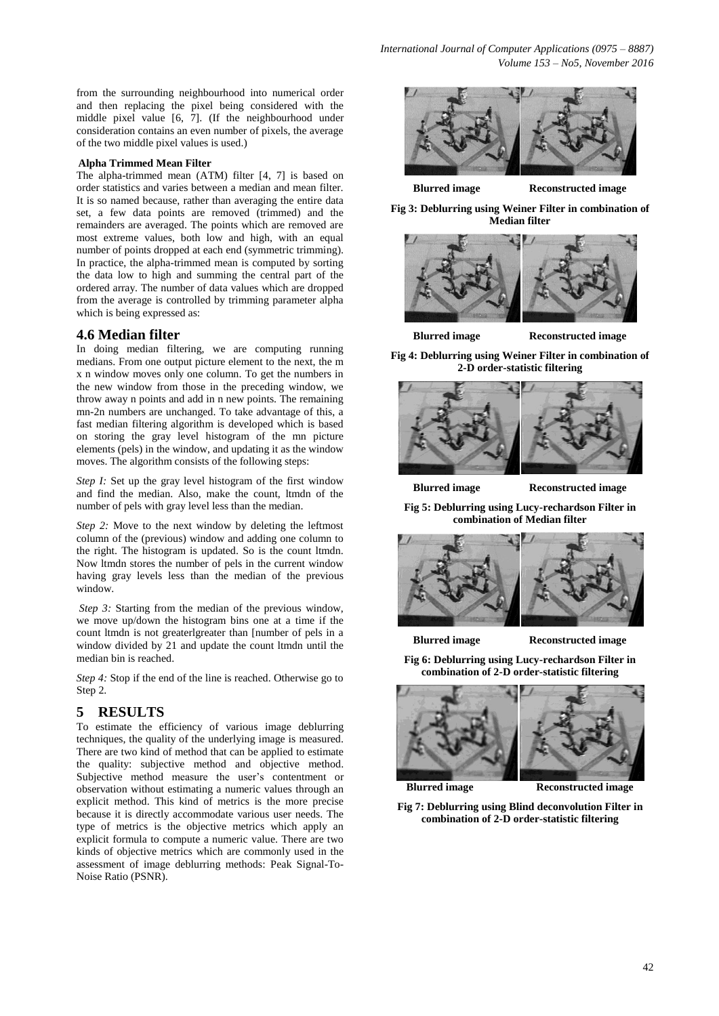from the surrounding neighbourhood into numerical order and then replacing the pixel being considered with the middle pixel value [6, 7]. (If the neighbourhood under consideration contains an even number of pixels, the average of the two middle pixel values is used.)

#### **Alpha Trimmed Mean Filter**

The alpha-trimmed mean (ATM) filter [4, 7] is based on order statistics and varies between a median and mean filter. It is so named because, rather than averaging the entire data set, a few data points are removed (trimmed) and the remainders are averaged. The points which are removed are most extreme values, both low and high, with an equal number of points dropped at each end (symmetric trimming). In practice, the alpha-trimmed mean is computed by sorting the data low to high and summing the central part of the ordered array. The number of data values which are dropped from the average is controlled by trimming parameter alpha which is being expressed as:

#### **4.6 Median filter**

In doing median filtering, we are computing running medians. From one output picture element to the next, the m x n window moves only one column. To get the numbers in the new window from those in the preceding window, we throw away n points and add in n new points. The remaining mn-2n numbers are unchanged. To take advantage of this, a fast median filtering algorithm is developed which is based on storing the gray level histogram of the mn picture elements (pels) in the window, and updating it as the window moves. The algorithm consists of the following steps:

*Step I:* Set up the gray level histogram of the first window and find the median. Also, make the count, ltmdn of the number of pels with gray level less than the median.

*Step 2:* Move to the next window by deleting the leftmost column of the (previous) window and adding one column to the right. The histogram is updated. So is the count ltmdn. Now ltmdn stores the number of pels in the current window having gray levels less than the median of the previous window.

*Step 3:* Starting from the median of the previous window, we move up/down the histogram bins one at a time if the count ltmdn is not greaterlgreater than [number of pels in a window divided by 21 and update the count ltmdn until the median bin is reached.

*Step 4:* Stop if the end of the line is reached. Otherwise go to Step 2.

#### **5 RESULTS**

To estimate the efficiency of various image deblurring techniques, the quality of the underlying image is measured. There are two kind of method that can be applied to estimate the quality: subjective method and objective method. Subjective method measure the user's contentment or observation without estimating a numeric values through an explicit method. This kind of metrics is the more precise because it is directly accommodate various user needs. The type of metrics is the objective metrics which apply an explicit formula to compute a numeric value. There are two kinds of objective metrics which are commonly used in the assessment of image deblurring methods: Peak Signal-To-Noise Ratio (PSNR).



**Blurred image Reconstructed image**

**Fig 3: Deblurring using Weiner Filter in combination of Median filter**



**Blurred image Reconstructed image**

**Fig 4: Deblurring using Weiner Filter in combination of 2-D order-statistic filtering**



**Blurred image Reconstructed image**

**Fig 5: Deblurring using Lucy-rechardson Filter in combination of Median filter**



**Blurred image Reconstructed image**

**Fig 6: Deblurring using Lucy-rechardson Filter in combination of 2-D order-statistic filtering**



**Blurred image Reconstructed image**

**Fig 7: Deblurring using Blind deconvolution Filter in combination of 2-D order-statistic filtering**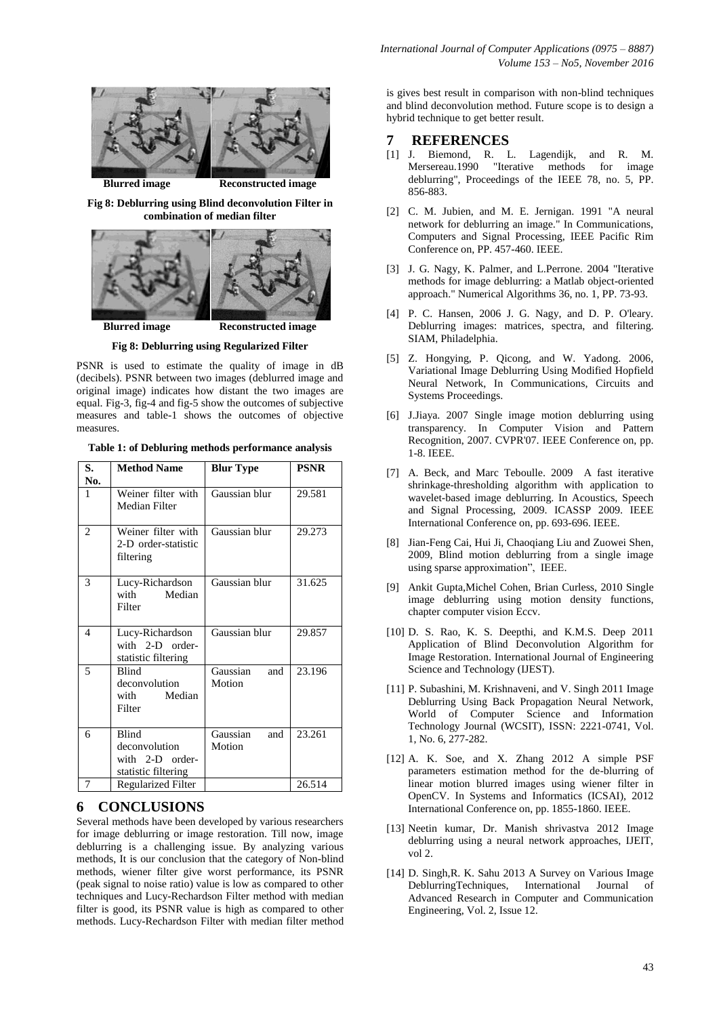

**Fig 8: Deblurring using Blind deconvolution Filter in combination of median filter**



**Fig 8: Deblurring using Regularized Filter**

PSNR is used to estimate the quality of image in dB (decibels). PSNR between two images (deblurred image and original image) indicates how distant the two images are equal. Fig-3, fig-4 and fig-5 show the outcomes of subjective measures and table-1 shows the outcomes of objective measures.

|  | Table 1: of Debluring methods performance analysis |  |
|--|----------------------------------------------------|--|
|  |                                                    |  |

| S.<br>No.                | <b>Method Name</b>                                               | <b>Blur Type</b>          | <b>PSNR</b> |
|--------------------------|------------------------------------------------------------------|---------------------------|-------------|
| 1                        | Weiner filter with<br>Median Filter                              | Gaussian blur             | 29.581      |
| $\overline{2}$           | Weiner filter with<br>2-D order-statistic<br>filtering           | Gaussian blur             | 29.273      |
| 3                        | Lucy-Richardson<br>with<br>Median<br>Filter                      | Gaussian blur             | 31.625      |
| $\overline{\mathcal{A}}$ | Lucy-Richardson<br>with 2-D order-<br>statistic filtering        | Gaussian blur             | 29.857      |
| 5                        | <b>Blind</b><br>deconvolution<br>Median<br>with<br>Filter        | Gaussian<br>and<br>Motion | 23.196      |
| 6                        | Blind<br>deconvolution<br>with 2-D order-<br>statistic filtering | Gaussian<br>and<br>Motion | 23.261      |
| 7                        | <b>Regularized Filter</b>                                        |                           | 26.514      |

# **6 CONCLUSIONS**

Several methods have been developed by various researchers for image deblurring or image restoration. Till now, image deblurring is a challenging issue. By analyzing various methods, It is our conclusion that the category of Non-blind methods, wiener filter give worst performance, its PSNR (peak signal to noise ratio) value is low as compared to other techniques and Lucy-Rechardson Filter method with median filter is good, its PSNR value is high as compared to other methods. Lucy-Rechardson Filter with median filter method is gives best result in comparison with non-blind techniques and blind deconvolution method. Future scope is to design a hybrid technique to get better result.

#### **7 REFERENCES**

- [1] J. Biemond, R. L. Lagendijk, and R. M. Mersereau.1990 "Iterative methods for image deblurring", Proceedings of the IEEE 78, no. 5, PP. 856-883.
- [2] C. M. Jubien, and M. E. Jernigan. 1991 "A neural network for deblurring an image." In Communications, Computers and Signal Processing, IEEE Pacific Rim Conference on, PP. 457-460. IEEE.
- [3] J. G. Nagy, K. Palmer, and L.Perrone. 2004 "Iterative methods for image deblurring: a Matlab object-oriented approach." Numerical Algorithms 36, no. 1, PP. 73-93.
- [4] P. C. Hansen, 2006 J. G. Nagy, and D. P. O'leary. Deblurring images: matrices, spectra, and filtering. SIAM, Philadelphia.
- [5] Z. Hongying, P. Qicong, and W. Yadong. 2006, Variational Image Deblurring Using Modified Hopfield Neural Network, In Communications, Circuits and Systems Proceedings.
- [6] J.Jiaya. 2007 Single image motion deblurring using transparency. In Computer Vision and Pattern Recognition, 2007. CVPR'07. IEEE Conference on, pp. 1-8. IEEE.
- [7] A. Beck, and Marc Teboulle. 2009 A fast iterative shrinkage-thresholding algorithm with application to wavelet-based image deblurring. In Acoustics, Speech and Signal Processing, 2009. ICASSP 2009. IEEE International Conference on, pp. 693-696. IEEE.
- [8] Jian-Feng Cai, Hui Ji, Chaoqiang Liu and Zuowei Shen, 2009, Blind motion deblurring from a single image using sparse approximation", IEEE.
- [9] Ankit Gupta,Michel Cohen, Brian Curless, 2010 Single image deblurring using motion density functions, chapter computer vision Eccv.
- [10] D. S. Rao, K. S. Deepthi, and K.M.S. Deep 2011 Application of Blind Deconvolution Algorithm for Image Restoration. International Journal of Engineering Science and Technology (IJEST).
- [11] P. Subashini, M. Krishnaveni, and V. Singh 2011 Image Deblurring Using Back Propagation Neural Network, World of Computer Science and Information Technology Journal (WCSIT), ISSN: 2221-0741, Vol. 1, No. 6, 277-282.
- [12] A. K. Soe, and X. Zhang 2012 A simple PSF parameters estimation method for the de-blurring of linear motion blurred images using wiener filter in OpenCV. In Systems and Informatics (ICSAI), 2012 International Conference on, pp. 1855-1860. IEEE.
- [13] Neetin kumar, Dr. Manish shrivastva 2012 Image deblurring using a neural network approaches, IJEIT, vol 2.
- [14] D. Singh,R. K. Sahu 2013 A Survey on Various Image DeblurringTechniques, International Journal of Advanced Research in Computer and Communication Engineering, Vol. 2, Issue 12.